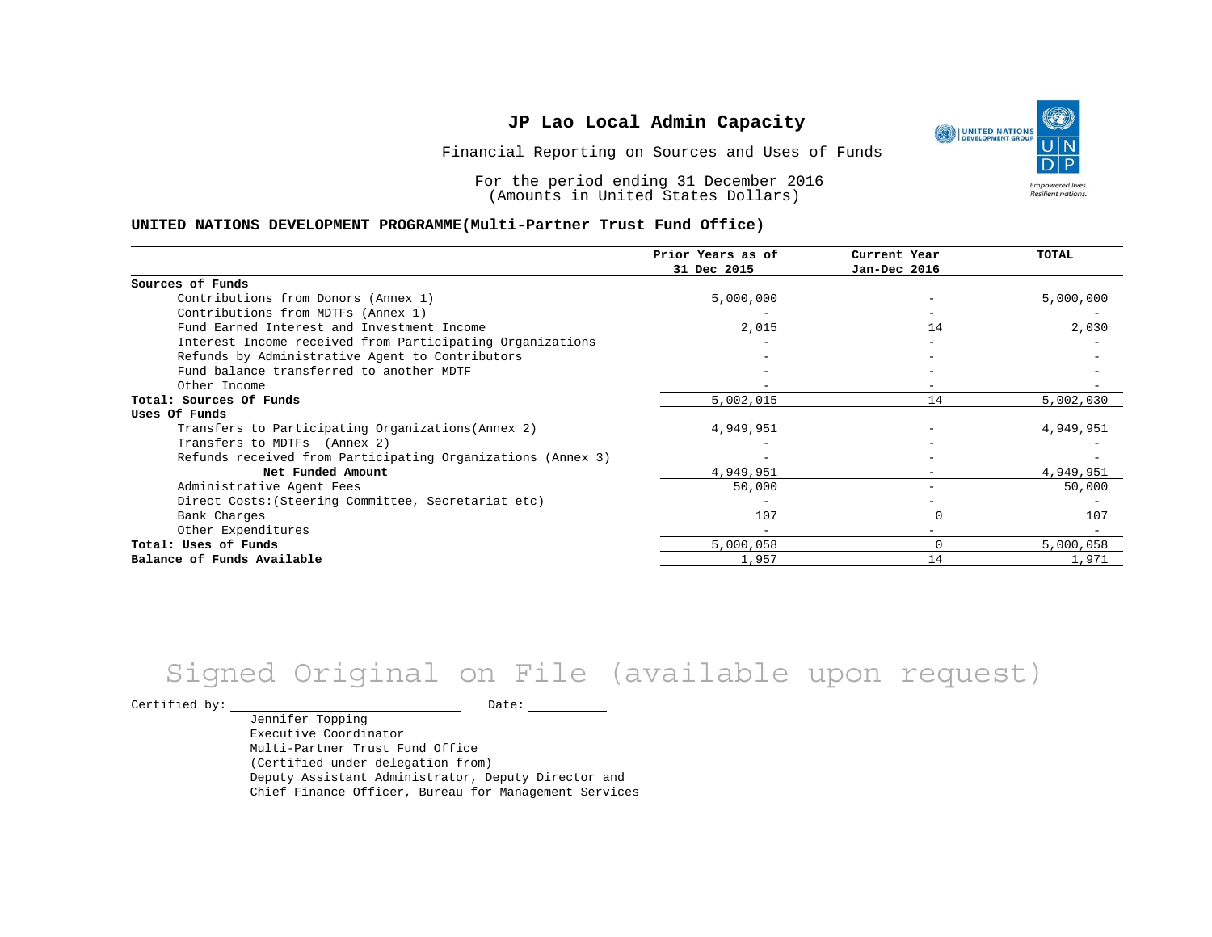٩ UNITED NATIONS **Empowered lives** Resilient nations.

Financial Reporting on Sources and Uses of Funds

For the period ending 31 December 2016 (Amounts in United States Dollars)

#### **UNITED NATIONS DEVELOPMENT PROGRAMME(Multi-Partner Trust Fund Office)**

|                                                             | Prior Years as of<br>31 Dec 2015 | Current Year<br>Jan-Dec 2016 | <b>TOTAL</b> |
|-------------------------------------------------------------|----------------------------------|------------------------------|--------------|
|                                                             |                                  |                              |              |
| Sources of Funds                                            |                                  |                              |              |
| Contributions from Donors (Annex 1)                         | 5,000,000                        |                              | 5,000,000    |
| Contributions from MDTFs (Annex 1)                          |                                  |                              |              |
| Fund Earned Interest and Investment Income                  | 2,015                            | 14                           | 2,030        |
| Interest Income received from Participating Organizations   |                                  |                              |              |
| Refunds by Administrative Agent to Contributors             |                                  |                              |              |
| Fund balance transferred to another MDTF                    |                                  |                              |              |
| Other Income                                                |                                  |                              |              |
| Total: Sources Of Funds                                     | 5,002,015                        | 14                           | 5,002,030    |
| Uses Of Funds                                               |                                  |                              |              |
| Transfers to Participating Organizations (Annex 2)          | 4,949,951                        |                              | 4,949,951    |
| Transfers to MDTFs (Annex 2)                                |                                  |                              |              |
| Refunds received from Participating Organizations (Annex 3) | $\overline{\phantom{0}}$         | $\overline{\phantom{0}}$     |              |
| Net Funded Amount                                           | 4,949,951                        |                              | 4,949,951    |
| Administrative Agent Fees                                   | 50,000                           |                              | 50,000       |
| Direct Costs: (Steering Committee, Secretariat etc)         |                                  |                              |              |
| Bank Charges                                                | 107                              |                              | 107          |
| Other Expenditures                                          |                                  |                              |              |
| Total: Uses of Funds                                        | 5,000,058                        | 0                            | 5,000,058    |
| Balance of Funds Available                                  | 1,957                            | 14                           | 1,971        |

# Signed Original on File (available upon request)

Certified by: Date:

Jennifer Topping Executive Coordinator Multi-Partner Trust Fund Office (Certified under delegation from) Deputy Assistant Administrator, Deputy Director and Chief Finance Officer, Bureau for Management Services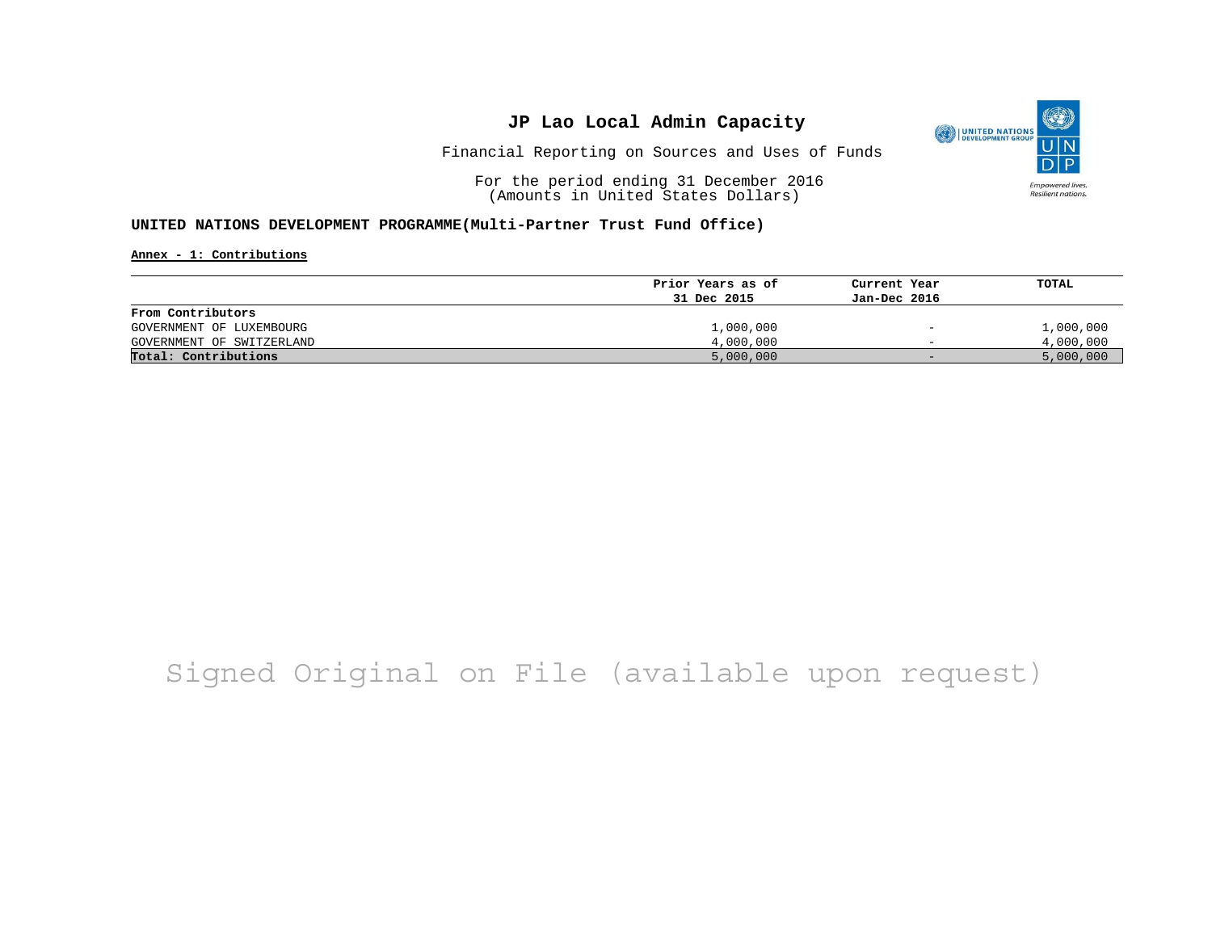

Financial Reporting on Sources and Uses of Funds

For the period ending 31 December 2016 (Amounts in United States Dollars)

#### **UNITED NATIONS DEVELOPMENT PROGRAMME(Multi-Partner Trust Fund Office)**

**Annex - 1: Contributions**

|                           | Prior Years as of | Current Year                 | TOTAL     |
|---------------------------|-------------------|------------------------------|-----------|
|                           | 31 Dec 2015       | Jan-Dec 2016                 |           |
| From Contributors         |                   |                              |           |
| GOVERNMENT OF LUXEMBOURG  | 1,000,000         | $\qquad \qquad \blacksquare$ | 1,000,000 |
| GOVERNMENT OF SWITZERLAND | 4,000,000         | $\overline{\phantom{0}}$     | 4,000,000 |
| Total: Contributions      | 5,000,000         | $-$                          | 5,000,000 |

## Signed Original on File (available upon request)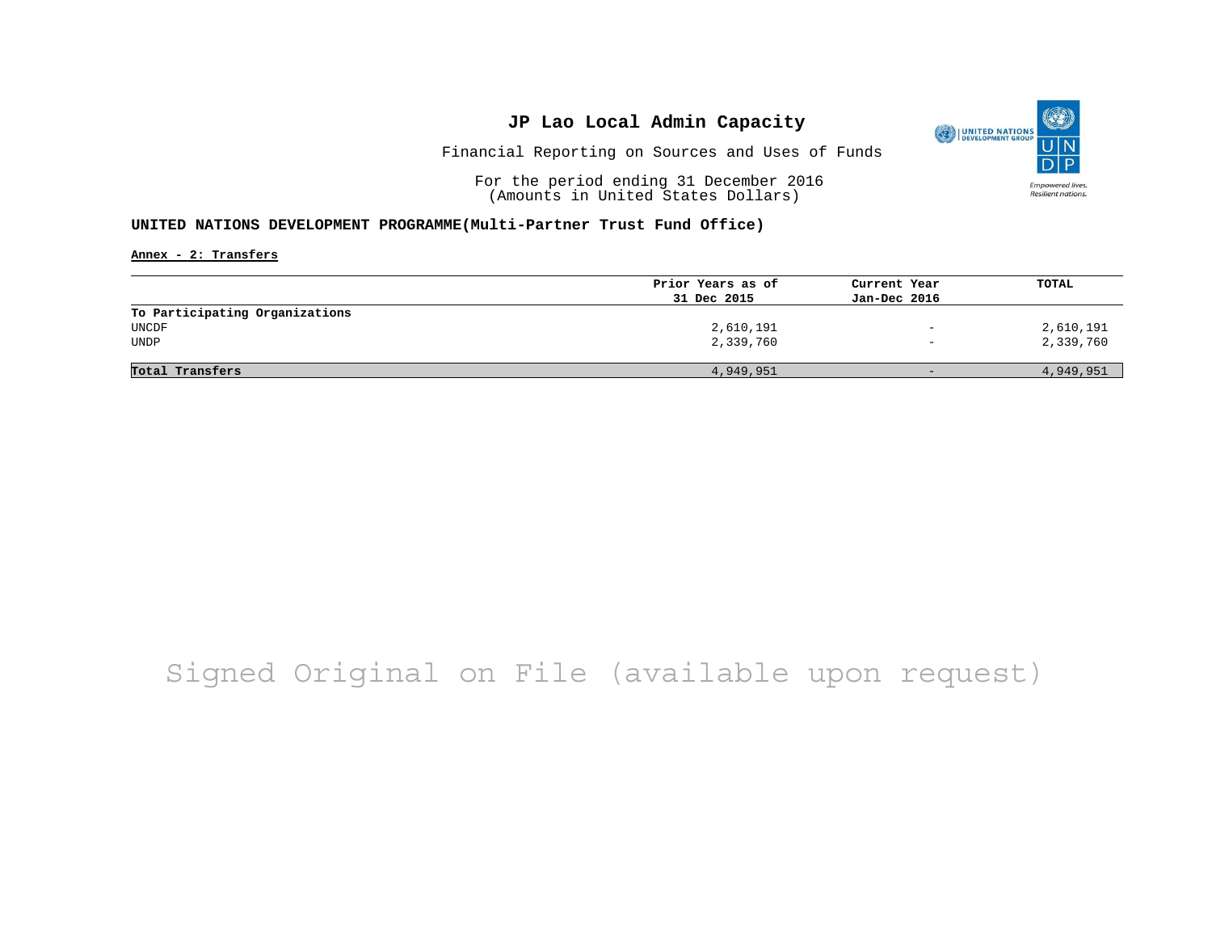

Financial Reporting on Sources and Uses of Funds

For the period ending 31 December 2016 (Amounts in United States Dollars)

#### **UNITED NATIONS DEVELOPMENT PROGRAMME(Multi-Partner Trust Fund Office)**

**Annex - 2: Transfers**

|                                | Prior Years as of | Current Year             | TOTAL     |
|--------------------------------|-------------------|--------------------------|-----------|
|                                | 31 Dec 2015       | Jan-Dec 2016             |           |
| To Participating Organizations |                   |                          |           |
| UNCDF                          | 2,610,191         | $\qquad \qquad -$        | 2,610,191 |
| <b>UNDP</b>                    | 2,339,760         | $\overline{\phantom{a}}$ | 2,339,760 |
|                                |                   |                          |           |
| Total Transfers                | 4,949,951         | $-$                      | 4,949,951 |

## Signed Original on File (available upon request)